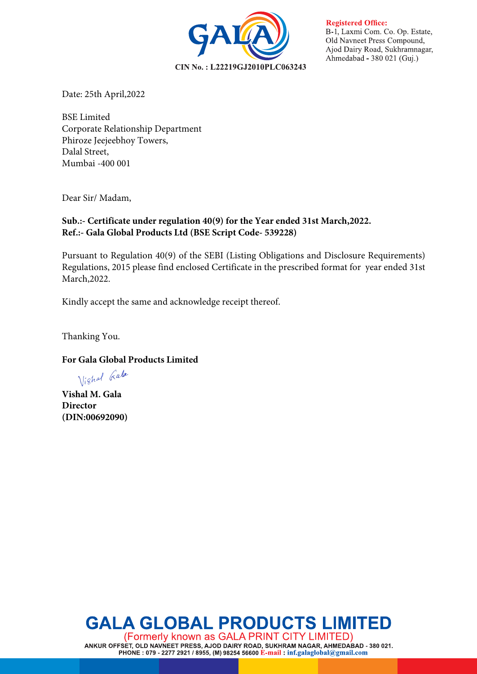CIN No.: L22219GJ2010PLC063243

**Registered Office:** B-1, Laxmi Com. Co. Op. Estate, Old Navneet Press Compound, Aiod Dairy Road, Sukhramnagar, Ahmedabad - 380 021 (Guj.)

Date: 25th April,2022

BSE Limited Corporate Relationship Department Phiroze Jeejeebhoy Towers, Dalal Street, Mumbai -400 001

Dear Sir/ Madam,

## **Sub.:- Certificate under regulation 40(9) for the Year ended 31st March,2022. Ref.:- Gala Global Products Ltd (BSE Script Code- 539228)**

Pursuant to Regulation 40(9) of the SEBI (Listing Obligations and Disclosure Requirements) Regulations, 2015 please find enclosed Certificate in the prescribed format for year ended 31st March,2022.

Kindly accept the same and acknowledge receipt thereof.

Thanking You.

## **For Gala Global Products Limited**

Vighal Gala

**Vishal M. Gala Director (DIN:00692090)**